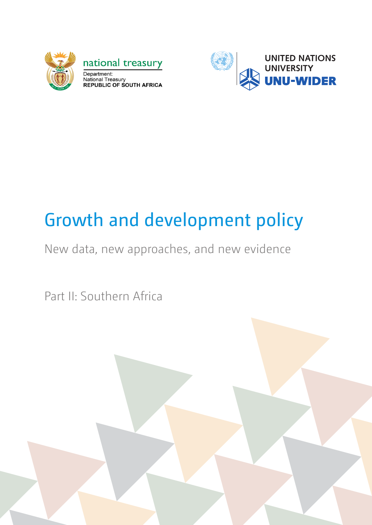

national treasury Department: Department.<br>National Treasury<br>REPUBLIC OF SOUTH AFRICA



# Growth and development policy

New data, new approaches, and new evidence

Part II: Southern Africa

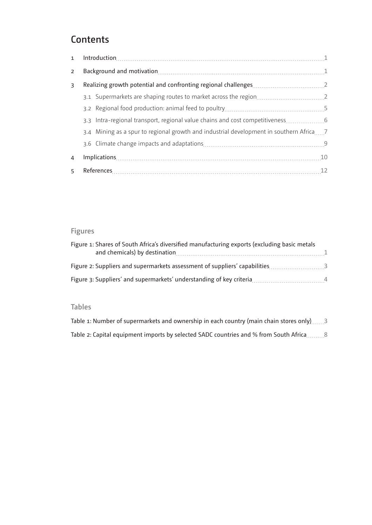# **Contents**

| $\overline{2}$ |                                                                                        |  |  |
|----------------|----------------------------------------------------------------------------------------|--|--|
| 3              |                                                                                        |  |  |
|                |                                                                                        |  |  |
|                |                                                                                        |  |  |
|                | 3.3 Intra-regional transport, regional value chains and cost competitiveness 6         |  |  |
|                | 3.4 Mining as a spur to regional growth and industrial development in southern Africa7 |  |  |
|                |                                                                                        |  |  |
| $\overline{4}$ |                                                                                        |  |  |
| 5              |                                                                                        |  |  |

# **Figures**

| Figure 1: Shares of South Africa's diversified manufacturing exports (excluding basic metals |                          |
|----------------------------------------------------------------------------------------------|--------------------------|
| Figure 2: Suppliers and supermarkets assessment of suppliers' capabilities                   | $\overline{\phantom{a}}$ |
| Figure 3: Suppliers' and supermarkets' understanding of key criteria                         | $\overline{4}$           |

### **Tables**

| Table 1: Number of supermarkets and ownership in each country (main chain stores only)3 |
|-----------------------------------------------------------------------------------------|
| Table 2: Capital equipment imports by selected SADC countries and % from South Africa 8 |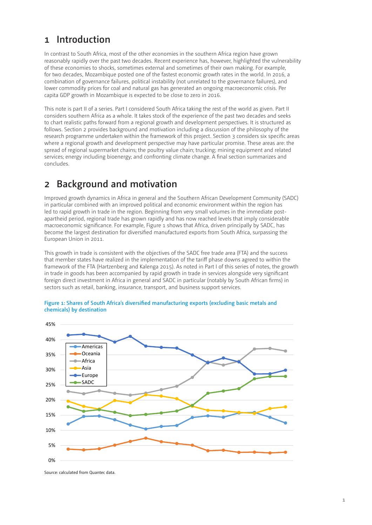## <span id="page-2-0"></span>**1 Introduction**

In contrast to South Africa, most of the other economies in the southern Africa region have grown reasonably rapidly over the past two decades. Recent experience has, however, highlighted the vulnerability of these economies to shocks, sometimes external and sometimes of their own making. For example, for two decades, Mozambique posted one of the fastest economic growth rates in the world. In 2016, a combination of governance failures, political instability (not unrelated to the governance failures), and lower commodity prices for coal and natural gas has generated an ongoing macroeconomic crisis. Per capita GDP growth in Mozambique is expected to be close to zero in 2016.

This note is part II of a series. Part I considered South Africa taking the rest of the world as given. Part II considers southern Africa as a whole. It takes stock of the experience of the past two decades and seeks to chart realistic paths forward from a regional growth and development perspectives. It is structured as follows. Section 2 provides background and motivation including a discussion of the philosophy of the research programme undertaken within the framework of this project. Section 3 considers six specific areas where a regional growth and development perspective may have particular promise. These areas are: the spread of regional supermarket chains; the poultry value chain; trucking; mining equipment and related services; energy including bioenergy; and confronting climate change. A final section summarizes and concludes.

# **2 Background and motivation**

Improved growth dynamics in Africa in general and the Southern African Development Community (SADC) in particular combined with an improved political and economic environment within the region has led to rapid growth in trade in the region. Beginning from very small volumes in the immediate postapartheid period, regional trade has grown rapidly and has now reached levels that imply considerable macroeconomic significance. For example, Figure 1 shows that Africa, driven principally by SADC, has become the largest destination for diversified manufactured exports from South Africa, surpassing the European Union in 2011.

This growth in trade is consistent with the objectives of the SADC free trade area (FTA) and the success that member states have realized in the implementation of the tariff phase downs agreed to within the framework of the FTA (Hartzenberg and Kalenga 2015). As noted in Part I of this series of notes, the growth in trade in goods has been accompanied by rapid growth in trade in services alongside very significant foreign direct investment in Africa in general and SADC in particular (notably by South African firms) in sectors such as retail, banking, insurance, transport, and business support services.



#### **Figure 1: Shares of South Africa's diversified manufacturing exports (excluding basic metals and chemicals) by destination**

Source: calculated from Quantec data.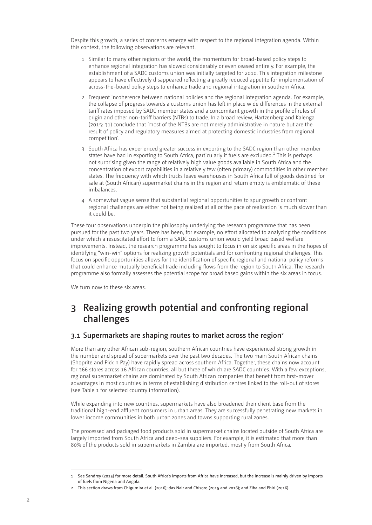<span id="page-3-0"></span>Despite this growth, a series of concerns emerge with respect to the regional integration agenda. Within this context, the following observations are relevant.

- 1 Similar to many other regions of the world, the momentum for broad-based policy steps to enhance regional integration has slowed considerably or even ceased entirely. For example, the establishment of a SADC customs union was initially targeted for 2010. This integration milestone appears to have effectively disappeared reflecting a greatly reduced appetite for implementation of across-the-board policy steps to enhance trade and regional integration in southern Africa.
- 2 Frequent incoherence between national policies and the regional integration agenda. For example, the collapse of progress towards a customs union has left in place wide differences in the external tariff rates imposed by SADC member states and a concomitant growth in the profile of rules of origin and other non-tariff barriers (NTBs) to trade. In a broad review, Hartzenberg and Kalenga (2015: 31) conclude that 'most of the NTBs are not merely administrative in nature but are the result of policy and regulatory measures aimed at protecting domestic industries from regional competition'.
- 3 South Africa has experienced greater success in exporting to the SADC region than other member states have had in exporting to South Africa, particularly if fuels are excluded.<sup>1</sup> This is perhaps not surprising given the range of relatively high value goods available in South Africa and the concentration of export capabilities in a relatively few (often primary) commodities in other member states. The frequency with which trucks leave warehouses in South Africa full of goods destined for sale at (South African) supermarket chains in the region and return empty is emblematic of these imbalances.
- 4 A somewhat vague sense that substantial regional opportunities to spur growth or confront regional challenges are either not being realized at all or the pace of realization is much slower than it could be.

These four observations underpin the philosophy underlying the research programme that has been pursued for the past two years. There has been, for example, no effort allocated to analyzing the conditions under which a resuscitated effort to form a SADC customs union would yield broad based welfare improvements. Instead, the research programme has sought to focus in on six specific areas in the hopes of identifying "win-win" options for realizing growth potentials and for confronting regional challenges. This focus on specific opportunities allows for the identification of specific regional and national policy reforms that could enhance mutually beneficial trade including flows from the region to South Africa. The research programme also formally assesses the potential scope for broad based gains within the six areas in focus.

We turn now to these six areas.

# **3 Realizing growth potential and confronting regional challenges**

### **3.1 Supermarkets are shaping routes to market across the region2**

More than any other African sub-region, southern African countries have experienced strong growth in the number and spread of supermarkets over the past two decades. The two main South African chains (Shoprite and Pick n Pay) have rapidly spread across southern Africa. Together, these chains now account for 366 stores across 16 African countries, all but three of which are SADC countries. With a few exceptions, regional supermarket chains are dominated by South African companies that benefit from first-mover advantages in most countries in terms of establishing distribution centres linked to the roll-out of stores (see Table 1 for selected country information).

While expanding into new countries, supermarkets have also broadened their client base from the traditional high-end affluent consumers in urban areas. They are successfully penetrating new markets in lower income communities in both urban zones and towns supporting rural zones.

The processed and packaged food products sold in supermarket chains located outside of South Africa are largely imported from South Africa and deep-sea suppliers. For example, it is estimated that more than 80% of the products sold in supermarkets in Zambia are imported, mostly from South Africa.

<sup>1</sup> See Sandrey (2015) for more detail. South Africa's imports from Africa have increased, but the increase is mainly driven by imports of fuels from Nigeria and Angola.

<sup>2</sup> This section draws from Chigumira et al. (2016); das Nair and Chisoro (2015 and 2016); and Ziba and Phiri (2016).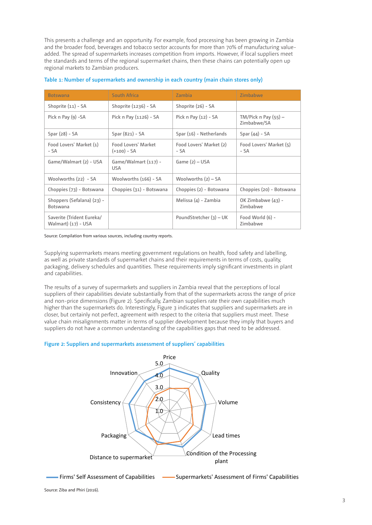<span id="page-4-0"></span>This presents a challenge and an opportunity. For example, food processing has been growing in Zambia and the broader food, beverages and tobacco sector accounts for more than 70% of manufacturing valueadded. The spread of supermarkets increases competition from imports. However, if local suppliers meet the standards and terms of the regional supermarket chains, then these chains can potentially open up regional markets to Zambian producers.

| <b>Botswana</b>                                  | <b>South Africa</b>                  | Zambia                          | Zimbabwe                              |
|--------------------------------------------------|--------------------------------------|---------------------------------|---------------------------------------|
| Shoprite (11) - SA                               | Shoprite $(1236)$ - SA               | Shoprite (26) - SA              |                                       |
| Pick $n$ Pay (9) -SA                             | Pick n Pay (1126) - SA               | Pick $n$ Pay $(12) - SA$        | $TM/Pick n Pay (55) -$<br>Zimbabwe/SA |
| $Spar(28) - SA$                                  | $Spar(821) - SA$                     | Spar (16) - Netherlands         | Spar $(44)$ - SA                      |
| Food Lovers' Market (1)<br>- SA                  | Food Lovers' Market<br>$(+100) - SA$ | Food Lovers' Market (2)<br>- SA | Food Lovers' Market (5)<br>- SA       |
| Game/Walmart (2) - USA                           | Game/Walmart (117) -<br><b>USA</b>   | Game $(2)$ – USA                |                                       |
| Woolworths (22) - SA                             | Woolworths (166) - SA                | Woolworths $(2)$ – SA           |                                       |
| Choppies (73) - Botswana                         | Choppies (31) - Botswana             | Choppies (2) - Botswana         | Choppies (20) - Botswana              |
| Shoppers (Sefalana) (23) -<br><b>Botswana</b>    |                                      | Melissa (4) - Zambia            | OK Zimbabwe (43) -<br>Zimbabwe        |
| Saverite (Trident Eureka/<br>Walmart) (17) - USA |                                      | PoundStretcher (3) - UK         | Food World (6) -<br>Zimbabwe          |

#### **Table 1: Number of supermarkets and ownership in each country (main chain stores only)**

Source: Compilation from various sources, including country reports.

Supplying supermarkets means meeting government regulations on health, food safety and labelling, as well as private standards of supermarket chains and their requirements in terms of costs, quality, packaging, delivery schedules and quantities. These requirements imply significant investments in plant and capabilities.

The results of a survey of supermarkets and suppliers in Zambia reveal that the perceptions of local suppliers of their capabilities deviate substantially from that of the supermarkets across the range of price and non-price dimensions (Figure 2). Specifically, Zambian suppliers rate their own capabilities much higher than the supermarkets do. Interestingly, Figure 3 indicates that suppliers and supermarkets are in closer, but certainly not perfect, agreement with respect to the criteria that suppliers must meet. These value chain misalignments matter in terms of supplier development because they imply that buyers and suppliers do not have a common understanding of the capabilities gaps that need to be addressed.

#### **Figure 2: Suppliers and supermarkets assessment of suppliers' capabilities**



Firms' Self Assessment of Capabilities (Supermarkets' Assessment of Firms' Capabilities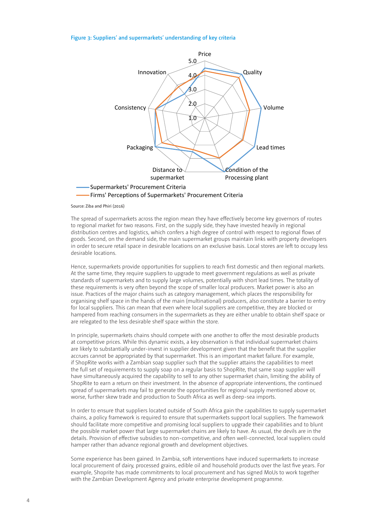#### <span id="page-5-0"></span>**Figure 3: Suppliers' and supermarkets' understanding of key criteria**



Source: Ziba and Phiri (2016)

The spread of supermarkets across the region mean they have effectively become key governors of routes to regional market for two reasons. First, on the supply side, they have invested heavily in regional distribution centres and logistics, which confers a high degree of control with respect to regional flows of goods. Second, on the demand side, the main supermarket groups maintain links with property developers in order to secure retail space in desirable locations on an exclusive basis. Local stores are left to occupy less desirable locations.

Hence, supermarkets provide opportunities for suppliers to reach first domestic and then regional markets. At the same time, they require suppliers to upgrade to meet government regulations as well as private standards of supermarkets and to supply large volumes, potentially with short lead times. The totality of these requirements is very often beyond the scope of smaller local producers. Market power is also an issue. Practices of the major chains such as category management, which places the responsibility for organising shelf space in the hands of the main (multinational) producers, also constitute a barrier to entry for local suppliers. This can mean that even where local suppliers are competitive, they are blocked or hampered from reaching consumers in the supermarkets as they are either unable to obtain shelf space or are relegated to the less desirable shelf space within the store.

In principle, supermarkets chains should compete with one another to offer the most desirable products at competitive prices. While this dynamic exists, a key observation is that individual supermarket chains are likely to substantially under-invest in supplier development given that the benefit that the supplier accrues cannot be appropriated by that supermarket. This is an important market failure. For example, if ShopRite works with a Zambian soap supplier such that the supplier attains the capabilities to meet the full set of requirements to supply soap on a regular basis to ShopRite, that same soap supplier will have simultaneously acquired the capability to sell to any other supermarket chain, limiting the ability of ShopRite to earn a return on their investment. In the absence of appropriate interventions, the continued spread of supermarkets may fail to generate the opportunities for regional supply mentioned above or, worse, further skew trade and production to South Africa as well as deep-sea imports.

In order to ensure that suppliers located outside of South Africa gain the capabilities to supply supermarket chains, a policy framework is required to ensure that supermarkets support local suppliers. The framework should facilitate more competitive and promising local suppliers to upgrade their capabilities and to blunt the possible market power that large supermarket chains are likely to have. As usual, the devils are in the details. Provision of effective subsidies to non-competitive, and often well-connected, local suppliers could hamper rather than advance regional growth and development objectives.

Some experience has been gained. In Zambia, soft interventions have induced supermarkets to increase local procurement of dairy, processed grains, edible oil and household products over the last five years. For example, Shoprite has made commitments to local procurement and has signed MoUs to work together with the Zambian Development Agency and private enterprise development programme.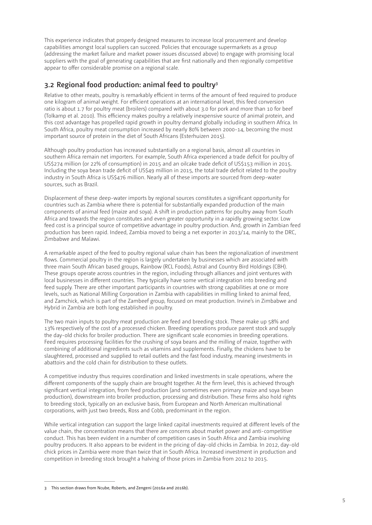<span id="page-6-0"></span>This experience indicates that properly designed measures to increase local procurement and develop capabilities amongst local suppliers can succeed. Policies that encourage supermarkets as a group (addressing the market failure and market power issues discussed above) to engage with promising local suppliers with the goal of generating capabilities that are first nationally and then regionally competitive appear to offer considerable promise on a regional scale.

### **3.2 Regional food production: animal feed to poultry3**

Relative to other meats, poultry is remarkably efficient in terms of the amount of feed required to produce one kilogram of animal weight. For efficient operations at an international level, this feed conversion ratio is about 1.7 for poultry meat (broilers) compared with about 3.0 for pork and more than 10 for beef (Tolkamp et al. 2010). This efficiency makes poultry a relatively inexpensive source of animal protein, and this cost advantage has propelled rapid growth in poultry demand globally including in southern Africa. In South Africa, poultry meat consumption increased by nearly 80% between 2000-14, becoming the most important source of protein in the diet of South Africans (Esterhuizen 2015).

Although poultry production has increased substantially on a regional basis, almost all countries in southern Africa remain net importers. For example, South Africa experienced a trade deficit for poultry of US\$274 million (or 22% of consumption) in 2015 and an oilcake trade deficit of US\$153 million in 2015. Including the soya bean trade deficit of US\$49 million in 2015, the total trade deficit related to the poultry industry in South Africa is US\$476 million. Nearly all of these imports are sourced from deep-water sources, such as Brazil.

Displacement of these deep-water imports by regional sources constitutes a significant opportunity for countries such as Zambia where there is potential for substantially expanded production of the main components of animal feed (maize and soya). A shift in production patterns for poultry away from South Africa and towards the region constitutes and even greater opportunity in a rapidly growing sector. Low feed cost is a principal source of competitive advantage in poultry production. And, growth in Zambian feed production has been rapid. Indeed, Zambia moved to being a net exporter in 2013/14, mainly to the DRC, Zimbabwe and Malawi.

A remarkable aspect of the feed to poultry regional value chain has been the regionalization of investment flows. Commercial poultry in the region is largely undertaken by businesses which are associated with three main South African based groups, Rainbow (RCL Foods), Astral and Country Bird Holdings (CBH). These groups operate across countries in the region, including through alliances and joint ventures with local businesses in different countries. They typically have some vertical integration into breeding and feed supply. There are other important participants in countries with strong capabilities at one or more levels, such as National Milling Corporation in Zambia with capabilities in milling linked to animal feed, and Zamchick, which is part of the Zambeef group, focused on meat production. Irvine's in Zimbabwe and Hybrid in Zambia are both long established in poultry.

The two main inputs to poultry meat production are feed and breeding stock. These make up 58% and 13% respectively of the cost of a processed chicken. Breeding operations produce parent stock and supply the day-old chicks for broiler production. There are significant scale economies in breeding operations. Feed requires processing facilities for the crushing of soya beans and the milling of maize, together with combining of additional ingredients such as vitamins and supplements. Finally, the chickens have to be slaughtered, processed and supplied to retail outlets and the fast food industry, meaning investments in abattoirs and the cold chain for distribution to these outlets.

A competitive industry thus requires coordination and linked investments in scale operations, where the different components of the supply chain are brought together. At the firm level, this is achieved through significant vertical integration, from feed production (and sometimes even primary maize and soya bean production), downstream into broiler production, processing and distribution. These firms also hold rights to breeding stock, typically on an exclusive basis, from European and North American multinational corporations, with just two breeds, Ross and Cobb, predominant in the region.

While vertical integration can support the large linked capital investments required at different levels of the value chain, the concentration means that there are concerns about market power and anti-competitive conduct. This has been evident in a number of competition cases in South Africa and Zambia involving poultry producers. It also appears to be evident in the pricing of day-old chicks in Zambia. In 2012, day-old chick prices in Zambia were more than twice that in South Africa. Increased investment in production and competition in breeding stock brought a halving of those prices in Zambia from 2012 to 2015.

<sup>3</sup> This section draws from Ncube, Roberts, and Zengeni (2016a and 2016b).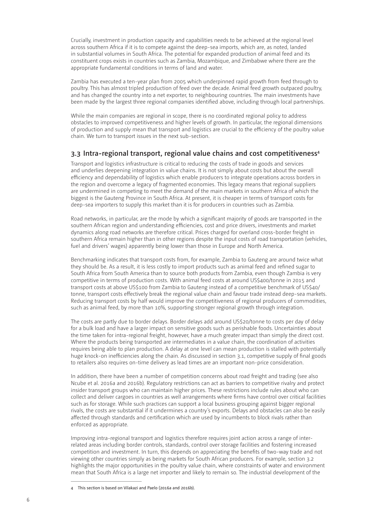<span id="page-7-0"></span>Crucially, investment in production capacity and capabilities needs to be achieved at the regional level across southern Africa if it is to compete against the deep-sea imports, which are, as noted, landed in substantial volumes in South Africa. The potential for expanded production of animal feed and its constituent crops exists in countries such as Zambia, Mozambique, and Zimbabwe where there are the appropriate fundamental conditions in terms of land and water.

Zambia has executed a ten-year plan from 2005 which underpinned rapid growth from feed through to poultry. This has almost tripled production of feed over the decade. Animal feed growth outpaced poultry, and has changed the country into a net exporter, to neighbouring countries. The main investments have been made by the largest three regional companies identified above, including through local partnerships.

While the main companies are regional in scope, there is no coordinated regional policy to address obstacles to improved competitiveness and higher levels of growth. In particular, the regional dimensions of production and supply mean that transport and logistics are crucial to the efficiency of the poultry value chain. We turn to transport issues in the next sub-section.

### **3.3 Intra-regional transport, regional value chains and cost competitiveness4**

Transport and logistics infrastructure is critical to reducing the costs of trade in goods and services and underlies deepening integration in value chains. It is not simply about costs but about the overall efficiency and dependability of logistics which enable producers to integrate operations across borders in the region and overcome a legacy of fragmented economies. This legacy means that regional suppliers are undermined in competing to meet the demand of the main markets in southern Africa of which the biggest is the Gauteng Province in South Africa. At present, it is cheaper in terms of transport costs for deep-sea importers to supply this market than it is for producers in countries such as Zambia.

Road networks, in particular, are the mode by which a significant majority of goods are transported in the southern African region and understanding efficiencies, cost and price drivers, investments and market dynamics along road networks are therefore critical. Prices charged for overland cross-border freight in southern Africa remain higher than in other regions despite the input costs of road transportation (vehicles, fuel and drivers' wages) apparently being lower than those in Europe and North America.

Benchmarking indicates that transport costs from, for example, Zambia to Gauteng are around twice what they should be. As a result, it is less costly to import products such as animal feed and refined sugar to South Africa from South America than to source both products from Zambia, even though Zambia is very competitive in terms of production costs. With animal feed costs at around US\$400/tonne in 2015 and transport costs at above US\$100 from Zambia to Gauteng instead of a competitive benchmark of US\$40/ tonne, transport costs effectively break the regional value chain and favour trade instead deep-sea markets. Reducing transport costs by half would improve the competitiveness of regional producers of commodities, such as animal feed, by more than 10%, supporting stronger regional growth through integration.

The costs are partly due to border delays. Border delays add around US\$20/tonne to costs per day of delay for a bulk load and have a larger impact on sensitive goods such as perishable foods. Uncertainties about the time taken for intra-regional freight, however, have a much greater impact than simply the direct cost. Where the products being transported are intermediates in a value chain, the coordination of activities requires being able to plan production. A delay at one level can mean production is stalled with potentially huge knock-on inefficiencies along the chain. As discussed in section 3.1, competitive supply of final goods to retailers also requires on-time delivery as lead times are an important non-price consideration.

In addition, there have been a number of competition concerns about road freight and trading (see also Ncube et al. 2016a and 2016b). Regulatory restrictions can act as barriers to competitive rivalry and protect insider transport groups who can maintain higher prices. These restrictions include rules about who can collect and deliver cargoes in countries as well arrangements where firms have control over critical facilities such as for storage. While such practices can support a local business grouping against bigger regional rivals, the costs are substantial if it undermines a country's exports. Delays and obstacles can also be easily affected through standards and certification which are used by incumbents to block rivals rather than enforced as appropriate.

Improving intra-regional transport and logistics therefore requires joint action across a range of interrelated areas including border controls, standards, control over storage facilities and fostering increased competition and investment. In turn, this depends on appreciating the benefits of two-way trade and not viewing other countries simply as being markets for South African producers. For example, section 3.2 highlights the major opportunities in the poultry value chain, where constraints of water and environment mean that South Africa is a large net importer and likely to remain so. The industrial development of the

<sup>4</sup> This section is based on Vilakazi and Paelo (2016a and 2016b).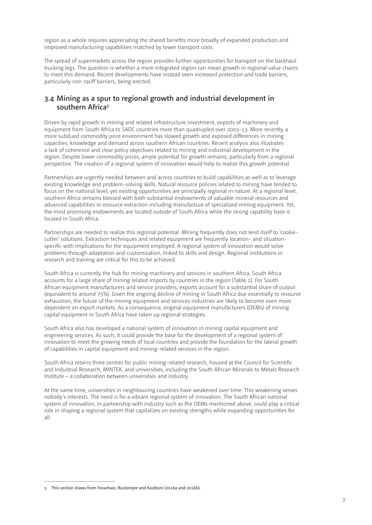<span id="page-8-0"></span>region as a whole requires appreciating the shared benefits more broadly of expanded production and improved manufacturing capabilities matched by lower transport costs.

The spread of supermarkets across the region provides further opportunities for transport on the backhaul trucking legs. The question is whether a more integrated region can mean growth in regional value chains to meet this demand. Recent developments have instead seen increased protection and trade barriers, particularly non-tariff barriers, being erected.

### **3.4 Mining as a spur to regional growth and industrial development in southern Africa5**

Driven by rapid growth in mining and related infrastructure investment, exports of machinery and equipment from South Africa to SADC countries more than quadrupled over 2003-13. More recently, a more subdued commodity price environment has slowed growth and exposed differences in mining capacities, knowledge and demand across southern African countries. Recent analysis also illustrates a lack of coherence and clear policy objectives related to mining and industrial development in the region. Despite lower commodity prices, ample potential for growth remains, particularly from a regional perspective. The creation of a regional system of innovation would help to realize this growth potential

Partnerships are urgently needed between and across countries to build capabilities as well as to leverage existing knowledge and problem-solving skills. Natural resource policies related to mining have tended to focus on the national level, yet existing opportunities are principally regional in nature. At a regional level, southern Africa remains blessed with both substantial endowments of valuable mineral resources and advanced capabilities in resource extraction including manufacture of specialized mining equipment. Yet, the most promising endowments are located outside of South Africa while the strong capability base is located in South Africa.

Partnerships are needed to realize this regional potential. Mining frequently does not lend itself to 'cookiecutter' solutions. Extraction techniques and related equipment are frequently location- and situationspecific with implications for the equipment employed. A regional system of innovation would solve problems through adaptation and customization, linked to skills and design. Regional institutions in research and training are critical for this to be achieved.

South Africa is currently the hub for mining machinery and services in southern Africa. South Africa accounts for a large share of mining related imports by countries in the region (Table 2). For South African equipment manufacturers and service providers, exports account for a substantial share of output (equivalent to around 75%). Given the ongoing decline of mining in South Africa due essentially to resource exhaustion, the future of the mining equipment and services industries are likely to become even more dependent on export markets. As a consequence, original equipment manufacturers (OEMs) of mining capital equipment in South Africa have taken up regional strategies.

South Africa also has developed a national system of innovation in mining capital equipment and engineering services. As such, it could provide the base for the development of a regional system of innovation to meet the growing needs of local countries and provide the foundation for the lateral growth of capabilities in capital equipment and mining-related services in the region.

South Africa retains three centres for public mining-related research, housed at the Council for Scientific and Industrial Research, MINTEK, and universities, including the South African Minerals to Metals Research Institute – a collaboration between universities and industry.

At the same time, universities in neighbouring countries have weakened over time. This weakening serves nobody's interests. The need is for a vibrant regional system of innovation. The South African national system of innovation, in partnership with industry such as the OEMs mentioned above, could play a critical role in shaping a regional system that capitalizes on existing strengths while expanding opportunities for all.

<sup>5</sup> This section draws from Fessehaie, Rustomjee and Kaziboni (2016a and 2016b).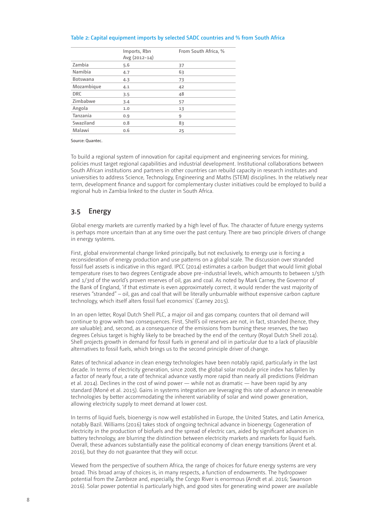#### <span id="page-9-0"></span>**Table 2: Capital equipment imports by selected SADC countries and % from South Africa**

|                 | Imports, Rbn<br>Avg (2012-14) | From South Africa, % |
|-----------------|-------------------------------|----------------------|
| Zambia          | 5.6                           | 37                   |
| Namibia         | 4.7                           | 63                   |
| <b>Botswana</b> | 4.3                           | 73                   |
| Mozambique      | 4.1                           | 42                   |
| <b>DRC</b>      | 3.5                           | 48                   |
| Zimbabwe        | 3.4                           | 57                   |
| Angola          | 1.0                           | 13                   |
| Tanzania        | 0.9                           | 9                    |
| Swaziland       | 0.8                           | 83                   |
| Malawi          | 0.6                           | 25                   |

Source: Quantec.

To build a regional system of innovation for capital equipment and engineering services for mining, policies must target regional capabilities and industrial development. Institutional collaborations between South African institutions and partners in other countries can rebuild capacity in research institutes and universities to address Science, Technology, Engineering and Maths (STEM) disciplines. In the relatively near term, development finance and support for complementary cluster initiatives could be employed to build a regional hub in Zambia linked to the cluster in South Africa.

### **3.5 Energy**

Global energy markets are currently marked by a high level of flux. The character of future energy systems is perhaps more uncertain than at any time over the past century. There are two principle drivers of change in energy systems.

First, global environmental change linked principally, but not exclusively, to energy use is forcing a reconsideration of energy production and use patterns on a global scale. The discussion over stranded fossil fuel assets is indicative in this regard. IPCC (2014) estimates a carbon budget that would limit global temperature rises to two degrees Centigrade above pre-industrial levels, which amounts to between 1/5th and 1/3rd of the world's proven reserves of oil, gas and coal. As noted by Mark Carney, the Governor of the Bank of England, 'if that estimate is even approximately correct, it would render the vast majority of reserves "stranded" – oil, gas and coal that will be literally unburnable without expensive carbon capture technology, which itself alters fossil fuel economics' (Carney 2015).

In an open letter, Royal Dutch Shell PLC, a major oil and gas company, counters that oil demand will continue to grow with two consequences. First, Shell's oil reserves are not, in fact, stranded (hence, they are valuable); and, second, as a consequence of the emissions from burning these reserves, the two degrees Celsius target is highly likely to be breached by the end of the century (Royal Dutch Shell 2014). Shell projects growth in demand for fossil fuels in general and oil in particular due to a lack of plausible alternatives to fossil fuels, which brings us to the second principle driver of change.

Rates of technical advance in clean energy technologies have been notably rapid, particularly in the last decade. In terms of electricity generation, since 2008, the global solar module price index has fallen by a factor of nearly four, a rate of technical advance vastly more rapid than nearly all predictions (Feldman et al. 2014). Declines in the cost of wind power — while not as dramatic — have been rapid by any standard (Moné et al. 2015). Gains in systems integration are leveraging this rate of advance in renewable technologies by better accommodating the inherent variability of solar and wind power generation, allowing electricity supply to meet demand at lower cost.

In terms of liquid fuels, bioenergy is now well established in Europe, the United States, and Latin America, notably Bazil. Williams (2016) takes stock of ongoing technical advance in bioenergy. Cogeneration of electricity in the production of biofuels and the spread of electric cars, aided by significant advances in battery technology, are blurring the distinction between electricity markets and markets for liquid fuels. Overall, these advances substantially ease the political economy of clean energy transitions (Arent et al. 2016), but they do not guarantee that they will occur.

Viewed from the perspective of southern Africa, the range of choices for future energy systems are very broad. This broad array of choices is, in many respects, a function of endowments. The hydropower potential from the Zambeze and, especially, the Congo River is enormous (Arndt et al. 2016; Swanson 2016). Solar power potential is particularly high, and good sites for generating wind power are available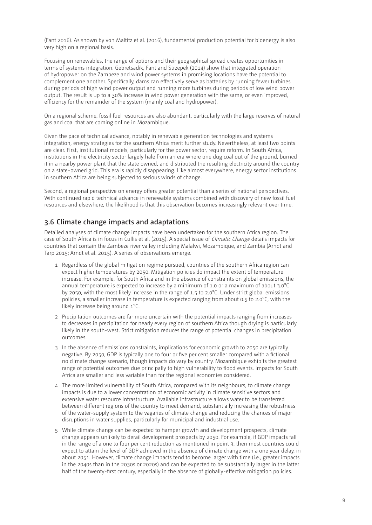<span id="page-10-0"></span>(Fant 2016). As shown by von Maltitz et al. (2016), fundamental production potential for bioenergy is also very high on a regional basis.

Focusing on renewables, the range of options and their geographical spread creates opportunities in terms of systems integration. Gebretsadik, Fant and Strzepek (2014) show that integrated operation of hydropower on the Zambeze and wind power systems in promising locations have the potential to complement one another. Specifically, dams can effectively serve as batteries by running fewer turbines during periods of high wind power output and running more turbines during periods of low wind power output. The result is up to a 30% increase in wind power generation with the same, or even improved, efficiency for the remainder of the system (mainly coal and hydropower).

On a regional scheme, fossil fuel resources are also abundant, particularly with the large reserves of natural gas and coal that are coming online in Mozambique.

Given the pace of technical advance, notably in renewable generation technologies and systems integration, energy strategies for the southern Africa merit further study. Nevertheless, at least two points are clear. First, institutional models, particularly for the power sector, require reform. In South Africa, institutions in the electricity sector largely hale from an era where one dug coal out of the ground, burned it in a nearby power plant that the state owned, and distributed the resulting electricity around the country on a state-owned grid. This era is rapidly disappearing. Like almost everywhere, energy sector institutions in southern Africa are being subjected to serious winds of change.

Second, a regional perspective on energy offers greater potential than a series of national perspectives. With continued rapid technical advance in renewable systems combined with discovery of new fossil fuel resources and elsewhere, the likelihood is that this observation becomes increasingly relevant over time.

### **3.6 Climate change impacts and adaptations**

Detailed analyses of climate change impacts have been undertaken for the southern Africa region. The case of South Africa is in focus in Cullis et al. (2015). A special issue of Climatic Change details impacts for countries that contain the Zambeze river valley including Malalwi, Mozambique, and Zambia (Arndt and Tarp 2015; Arndt et al. 2015). A series of observations emerge.

- 1 Regardless of the global mitigation regime pursued, countries of the southern Africa region can expect higher temperatures by 2050. Mitigation policies do impact the extent of temperature increase. For example, for South Africa and in the absence of constraints on global emissions, the annual temperature is expected to increase by a minimum of 1.0 or a maximum of about 3.0°C by 2050, with the most likely increase in the range of 1.5 to 2.0°C. Under strict global emissions policies, a smaller increase in temperature is expected ranging from about 0.5 to 2.0°C, with the likely increase being around 1°C.
- 2 Precipitation outcomes are far more uncertain with the potential impacts ranging from increases to decreases in precipitation for nearly every region of southern Africa though drying is particularly likely in the south-west. Strict mitigation reduces the range of potential changes in precipitation outcomes.
- 3 In the absence of emissions constraints, implications for economic growth to 2050 are typically negative. By 2050, GDP is typically one to four or five per cent smaller compared with a fictional no climate change scenario, though impacts do vary by country. Mozambique exhibits the greatest range of potential outcomes due principally to high vulnerability to flood events. Impacts for South Africa are smaller and less variable than for the regional economies considered.
- 4 The more limited vulnerability of South Africa, compared with its neighbours, to climate change impacts is due to a lower concentration of economic activity in climate sensitive sectors and extensive water resource infrastructure. Available infrastructure allows water to be transferred between different regions of the country to meet demand, substantially increasing the robustness of the water-supply system to the vagaries of climate change and reducing the chances of major disruptions in water supplies, particularly for municipal and industrial use.
- 5 While climate change can be expected to hamper growth and development prospects, climate change appears unlikely to derail development prospects by 2050. For example, if GDP impacts fall in the range of a one to four per cent reduction as mentioned in point 3, then most countries could expect to attain the level of GDP achieved in the absence of climate change with a one year delay, in about 2051. However, climate change impacts tend to become larger with time (i.e., greater impacts in the 2040s than in the 2030s or 2020s) and can be expected to be substantially larger in the latter half of the twenty-first century, especially in the absence of globally-effective mitigation policies.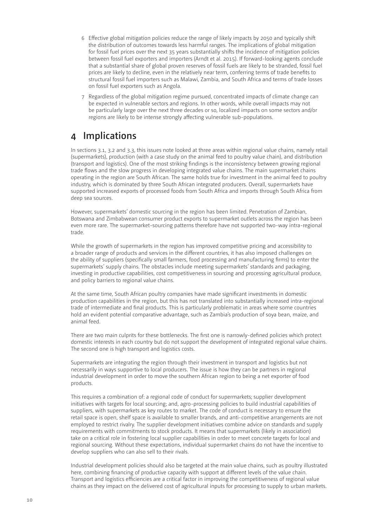- <span id="page-11-0"></span>6 Effective global mitigation policies reduce the range of likely impacts by 2050 and typically shift the distribution of outcomes towards less harmful ranges. The implications of global mitigation for fossil fuel prices over the next 35 years substantially shifts the incidence of mitigation policies between fossil fuel exporters and importers (Arndt et al. 2015). If forward-looking agents conclude that a substantial share of global proven reserves of fossil fuels are likely to be stranded, fossil fuel prices are likely to decline, even in the relatively near term, conferring terms of trade benefits to structural fossil fuel importers such as Malawi, Zambia, and South Africa and terms of trade losses on fossil fuel exporters such as Angola.
- 7 Regardless of the global mitigation regime pursued, concentrated impacts of climate change can be expected in vulnerable sectors and regions. In other words, while overall impacts may not be particularly large over the next three decades or so, localized impacts on some sectors and/or regions are likely to be intense strongly affecting vulnerable sub-populations.

# **4 Implications**

In sections 3.1, 3.2 and 3.3, this issues note looked at three areas within regional value chains, namely retail (supermarkets), production (with a case study on the animal feed to poultry value chain), and distribution (transport and logistics). One of the most striking findings is the inconsistency between growing regional trade flows and the slow progress in developing integrated value chains. The main supermarket chains operating in the region are South African. The same holds true for investment in the animal feed to poultry industry, which is dominated by three South African integrated producers. Overall, supermarkets have supported increased exports of processed foods from South Africa and imports through South Africa from deep sea sources.

However, supermarkets' domestic sourcing in the region has been limited. Penetration of Zambian, Botswana and Zimbabwean consumer product exports to supermarket outlets across the region has been even more rare. The supermarket-sourcing patterns therefore have not supported two-way intra-regional trade.

While the growth of supermarkets in the region has improved competitive pricing and accessibility to a broader range of products and services in the different countries, it has also imposed challenges on the ability of suppliers (specifically small farmers, food processing and manufacturing firms) to enter the supermarkets' supply chains. The obstacles include meeting supermarkets' standards and packaging, investing in productive capabilities, cost competitiveness in sourcing and processing agricultural produce, and policy barriers to regional value chains.

At the same time, South African poultry companies have made significant investments in domestic production capabilities in the region, but this has not translated into substantially increased intra-regional trade of intermediate and final products. This is particularly problematic in areas where some countries hold an evident potential comparative advantage, such as Zambia's production of soya bean, maize, and animal feed.

There are two main culprits for these bottlenecks. The first one is narrowly-defined policies which protect domestic interests in each country but do not support the development of integrated regional value chains. The second one is high transport and logistics costs.

Supermarkets are integrating the region through their investment in transport and logistics but not necessarily in ways supportive to local producers. The issue is how they can be partners in regional industrial development in order to move the southern African region to being a net exporter of food products.

This requires a combination of: a regional code of conduct for supermarkets; supplier development initiatives with targets for local sourcing; and, agro-processing policies to build industrial capabilities of suppliers, with supermarkets as key routes to market. The code of conduct is necessary to ensure the retail space is open, shelf space is available to smaller brands, and anti-competitive arrangements are not employed to restrict rivalry. The supplier development initiatives combine advice on standards and supply requirements with commitments to stock products. It means that supermarkets (likely in association) take on a critical role in fostering local supplier capabilities in order to meet concrete targets for local and regional sourcing. Without these expectations, individual supermarket chains do not have the incentive to develop suppliers who can also sell to their rivals.

Industrial development policies should also be targeted at the main value chains, such as poultry illustrated here, combining financing of productive capacity with support at different levels of the value chain. Transport and logistics efficiencies are a critical factor in improving the competitiveness of regional value chains as they impact on the delivered cost of agricultural inputs for processing to supply to urban markets.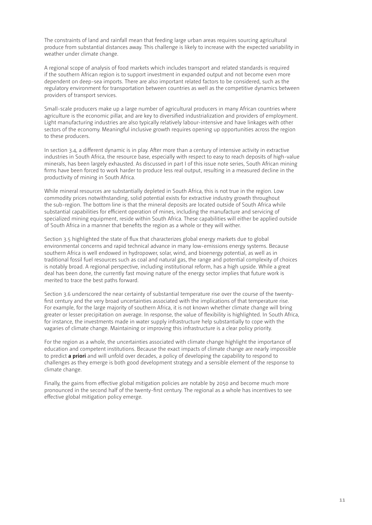The constraints of land and rainfall mean that feeding large urban areas requires sourcing agricultural produce from substantial distances away. This challenge is likely to increase with the expected variability in weather under climate change.

A regional scope of analysis of food markets which includes transport and related standards is required if the southern African region is to support investment in expanded output and not become even more dependent on deep-sea imports. There are also important related factors to be considered, such as the regulatory environment for transportation between countries as well as the competitive dynamics between providers of transport services.

Small-scale producers make up a large number of agricultural producers in many African countries where agriculture is the economic pillar, and are key to diversified industrialization and providers of employment. Light manufacturing industries are also typically relatively labour-intensive and have linkages with other sectors of the economy. Meaningful inclusive growth requires opening up opportunities across the region to these producers.

In section 3.4, a different dynamic is in play. After more than a century of intensive activity in extractive industries in South Africa, the resource base, especially with respect to easy to reach deposits of high-value minerals, has been largely exhausted. As discussed in part I of this issue note series, South African mining firms have been forced to work harder to produce less real output, resulting in a measured decline in the productivity of mining in South Africa.

While mineral resources are substantially depleted in South Africa, this is not true in the region. Low commodity prices notwithstanding, solid potential exists for extractive industry growth throughout the sub-region. The bottom line is that the mineral deposits are located outside of South Africa while substantial capabilities for efficient operation of mines, including the manufacture and servicing of specialized mining equipment, reside within South Africa. These capabilities will either be applied outside of South Africa in a manner that benefits the region as a whole or they will wither.

Section 3.5 highlighted the state of flux that characterizes global energy markets due to global environmental concerns and rapid technical advance in many low-emissions energy systems. Because southern Africa is well endowed in hydropower, solar, wind, and bioenergy potential, as well as in traditional fossil fuel resources such as coal and natural gas, the range and potential complexity of choices is notably broad. A regional perspective, including institutional reform, has a high upside. While a great deal has been done, the currently fast moving nature of the energy sector implies that future work is merited to trace the best paths forward.

Section 3.6 underscored the near certainty of substantial temperature rise over the course of the twentyfirst century and the very broad uncertainties associated with the implications of that temperature rise. For example, for the large majority of southern Africa, it is not known whether climate change will bring greater or lesser precipitation on average. In response, the value of flexibility is highlighted. In South Africa, for instance, the investments made in water supply infrastructure help substantially to cope with the vagaries of climate change. Maintaining or improving this infrastructure is a clear policy priority.

For the region as a whole, the uncertainties associated with climate change highlight the importance of education and competent institutions. Because the exact impacts of climate change are nearly impossible to predict **a priori** and will unfold over decades, a policy of developing the capability to respond to challenges as they emerge is both good development strategy and a sensible element of the response to climate change.

Finally, the gains from effective global mitigation policies are notable by 2050 and become much more pronounced in the second half of the twenty-first century. The regional as a whole has incentives to see effective global mitigation policy emerge.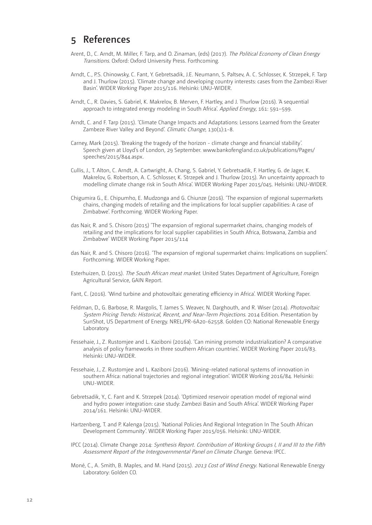### <span id="page-13-0"></span>**5 References**

- Arent, D., C. Arndt, M. Miller, F. Tarp, and O. Zinaman, (eds) (2017). The Political Economy of Clean Energy Transitions. Oxford: Oxford University Press. Forthcoming.
- Arndt, C., P.S. Chinowsky, C. Fant, Y. Gebretsadik, J.E. Neumann, S. Paltsev, A. C. Schlosser, K. Strzepek, F. Tarp and J. Thurlow (2015). 'Climate change and developing country interests: cases from the Zambezi River Basin'. WIDER Working Paper 2015/116. Helsinki: UNU-WIDER.
- Arndt, C., R. Davies, S. Gabriel, K. Makrelov, B. Merven, F. Hartley, and J. Thurlow (2016). 'A sequential approach to integrated energy modeling in South Africa'. Applied Energy, 161: 591-599.
- Arndt, C. and F. Tarp (2015). 'Climate Change Impacts and Adaptations: Lessons Learned from the Greater Zambeze River Valley and Beyond'. Climatic Change, 130(1):1-8.
- Carney, Mark (2015). 'Breaking the tragedy of the horizon climate change and financial stability'. Speech given at Lloyd's of London, 29 September. www.bankofengland.co.uk/publications/Pages/ speeches/2015/844.aspx.
- Cullis, J., T. Alton, C. Arndt, A. Cartwright, A. Chang, S. Gabriel, Y. Gebretsadik, F. Hartley, G. de Jager, K. Makrelov, G. Robertson, A. C. Schlosser, K. Strzepek and J. Thurlow (2015). 'An uncertainty approach to modelling climate change risk in South Africa'. WIDER Working Paper 2015/045. Helsinki: UNU-WIDER.
- Chigumira G., E. Chipumho, E. Mudzonga and G. Chiunze (2016). 'The expansion of regional supermarkets chains, changing models of retailing and the implications for local supplier capabilities: A case of Zimbabwe'. Forthcoming. WIDER Working Paper.
- das Nair, R. and S. Chisoro (2015) 'The expansion of regional supermarket chains, changing models of retailing and the implications for local supplier capabilities in South Africa, Botswana, Zambia and Zimbabwe' WIDER Working Paper 2015/114
- das Nair, R. and S. Chisoro (2016). 'The expansion of regional supermarket chains: Implications on suppliers'. Forthcoming. WIDER Working Paper.
- Esterhuizen, D. (2015). The South African meat market. United States Department of Agriculture, Foreign Agricultural Service, GAIN Report.
- Fant, C. (2016). 'Wind turbine and photovoltaic generating efficiency in Africa'. WIDER Working Paper.
- Feldman, D., G. Barbose, R. Margolis, T. James S. Weaver, N. Darghouth, and R. Wiser (2014). Photovoltaic System Pricing Trends: Historical, Recent, and Near-Term Projections. 2014 Edition. Presentation by SunShot, US Department of Energy. NREL/PR-6A20-62558. Golden CO: National Renewable Energy Laboratory.
- Fessehaie, J., Z. Rustomjee and L. Kaziboni (2016a). 'Can mining promote industrialization? A comparative analysis of policy frameworks in three southern African countries'. WIDER Working Paper 2016/83. Helsinki: UNU-WIDER.
- Fessehaie, J., Z. Rustomjee and L. Kaziboni (2016). 'Mining-related national systems of innovation in southern Africa: national trajectories and regional integration'. WIDER Working 2016/84. Helsinki: UNU-WIDER.
- Gebretsadik, Y., C. Fant and K. Strzepek (2014). 'Optimized reservoir operation model of regional wind and hydro power integration: case study: Zambezi Basin and South Africa'. WIDER Working Paper 2014/161. Helsinki: UNU-WIDER.
- Hartzenberg, T. and P. Kalenga (2015). 'National Policies And Regional Integration In The South African Development Community'. WIDER Working Paper 2015/056. Helsinki: UNU-WIDER.
- IPCC (2014). Climate Change 2014: Synthesis Report. Contribution of Working Groups I, II and III to the Fifth Assessment Report of the Intergovernmental Panel on Climate Change. Geneva: IPCC.
- Moné, C., A. Smith, B. Maples, and M. Hand (2015). 2013 Cost of Wind Energy. National Renewable Energy Laboratory: Golden CO.